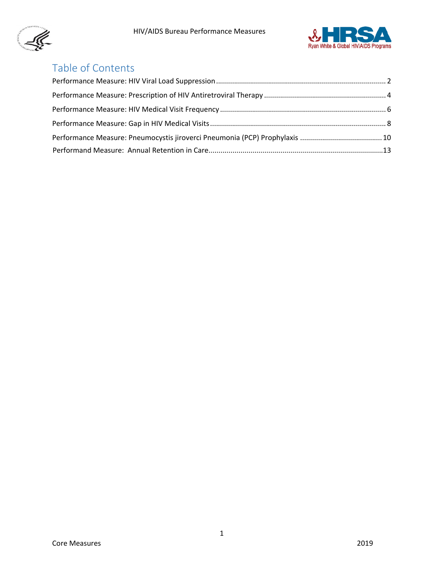



# Table of Contents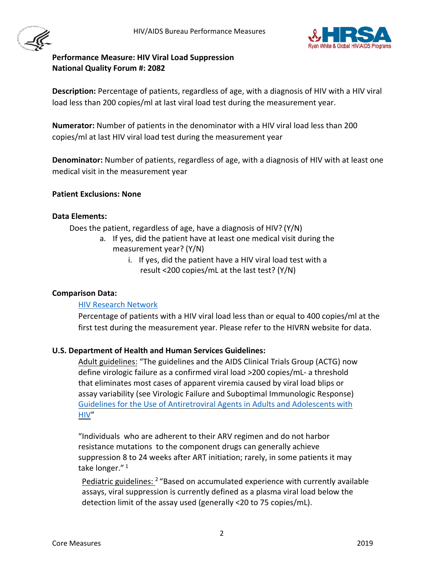



# <span id="page-1-0"></span>**Performance Measure: HIV Viral Load Suppression National Quality Forum #: 2082**

**Description:** Percentage of patients, regardless of age, with a diagnosis of HIV with a HIV viral load less than 200 copies/ml at last viral load test during the measurement year.

**Numerator:** Number of patients in the denominator with a HIV viral load less than 200 copies/ml at last HIV viral load test during the measurement year

**Denominator:** Number of patients, regardless of age, with a diagnosis of HIV with at least one medical visit in the measurement year

### **Patient Exclusions: None**

#### **Data Elements:**

Does the patient, regardless of age, have a diagnosis of HIV? (Y/N)

- a. If yes, did the patient have at least one medical visit during the measurement year? (Y/N)
	- i. If yes, did the patient have a HIV viral load test with a result <200 copies/mL at the last test? (Y/N)

#### **Comparison Data:**

#### [HIV Research Network](https://cds.johnshopkins.edu/hivrn/index.cfm?do=page.index)

Percentage of patients with a HIV viral load less than or equal to 400 copies/ml at the first test during the measurement year. Please refer to the HIVRN website for data.

# **U.S. Department of Health and Human Services Guidelines:**

Adult guidelines: "The guidelines and the AIDS Clinical Trials Group (ACTG) now define virologic failure as a confirmed viral load >200 copies/mL- a threshold that eliminates most cases of apparent viremia caused by viral load blips or assay variability (see Virologic Failure and Suboptimal Immunologic Response) [Guidelines for the Use of Antiretroviral Agents in Adults and Adolescents with](https://aidsinfo.nih.gov/contentfiles/lvguidelines/adultandadolescentgl.pdf)  [HIV"](https://aidsinfo.nih.gov/contentfiles/lvguidelines/adultandadolescentgl.pdf)

"Individuals who are adherent to their ARV regimen and do not harbor resistance mutations to the component drugs can generally achieve suppression 8 to 24 weeks after ART initiation; rarely, in some patients it may take longer."<sup>1</sup>

Pediatric guidelines:  $2^{\omega}$  Based on accumulated experience with currently available assays, viral suppression is currently defined as a plasma viral load below the detection limit of the assay used (generally <20 to 75 copies/mL).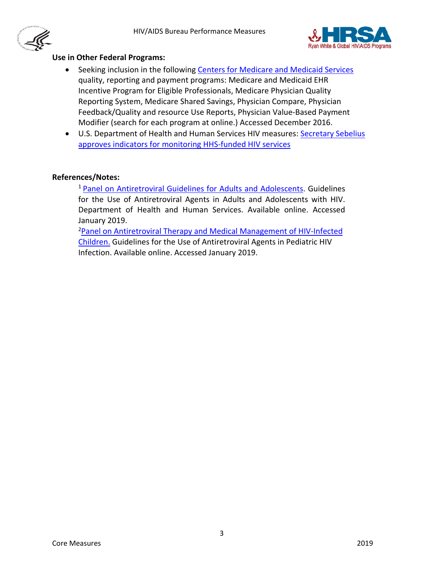



# **Use in Other Federal Programs:**

- Seeking inclusion in the following [Centers for Medicare and Medicaid Services](https://www.cms.gov/) quality, reporting and payment programs: Medicare and Medicaid EHR Incentive Program for Eligible Professionals, Medicare Physician Quality Reporting System, Medicare Shared Savings, Physician Compare, Physician Feedback/Quality and resource Use Reports, Physician Value-Based Payment Modifier (search for each program at online.) Accessed December 2016.
- U.S. Department of Health and Human Services HIV measures: Secretary Sebelius [approves](http://blog.aids.gov/2012/08/secretary-sebelius-approves-indicators-for-monitoring-hhs-funded-hiv-services.html) [indicators for monitoring HHS-funded HIV services](http://blog.aids.gov/2012/08/secretary-sebelius-approves-indicators-for-monitoring-hhs-funded-hiv-services.html)

#### **References/Notes:**

[1 Panel on Antiretroviral Guidelines for Adults and Adolescents.](https://aidsinfo.nih.gov/contentfiles/lvguidelines/adultandadolescentgl.pdf) Guidelines for the Use of Antiretroviral Agents in Adults and Adolescents with HIV. Department of Health and Human Services. Available online. Accessed January 2019.

[Panel on Antiretroviral Therapy and Medical Management of HIV-Infected](http://aidsinfo.nih.gov/contentfiles/lvguidelines/pediatricguidelines.pdf)  [Children.](http://aidsinfo.nih.gov/contentfiles/lvguidelines/pediatricguidelines.pdf) Guidelines for the Use of Antiretroviral Agents in Pediatric HIV Infection. Available online. Accessed January 2019.

3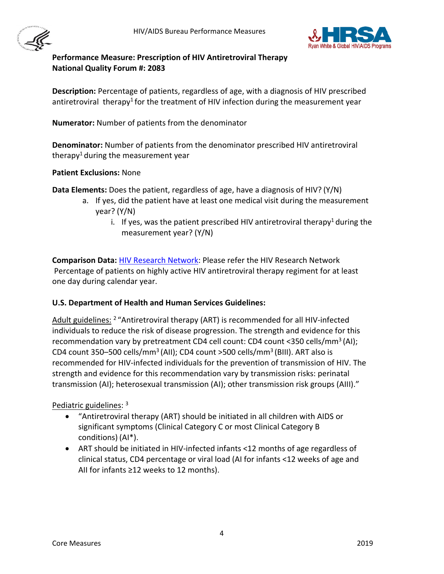



# <span id="page-3-0"></span>**Performance Measure: Prescription of HIV Antiretroviral Therapy National Quality Forum #: 2083**

**Description:** Percentage of patients, regardless of age, with a diagnosis of HIV prescribed antiretroviral therapy<sup>1</sup> for the treatment of HIV infection during the measurement year

**Numerator:** Number of patients from the denominator

**Denominator:** Number of patients from the denominator prescribed HIV antiretroviral therapy<sup>1</sup> during the measurement year

**Patient Exclusions:** None

**Data Elements:** Does the patient, regardless of age, have a diagnosis of HIV? (Y/N)

- a. If yes, did the patient have at least one medical visit during the measurement year? (Y/N)
	- i. If yes, was the patient prescribed HIV antiretroviral therapy<sup>1</sup> during the measurement year? (Y/N)

**Comparison Data:** [HIV Research Network:](https://cds.johnshopkins.edu/hivrn/) Please refer the HIV Research Network Percentage of patients on highly active HIV antiretroviral therapy regiment for at least one day during calendar year.

#### **U.S. Department of Health and Human Services Guidelines:**

Adult guidelines:  $2^{\alpha}$  Antiretroviral therapy (ART) is recommended for all HIV-infected individuals to reduce the risk of disease progression. The strength and evidence for this recommendation vary by pretreatment CD4 cell count: CD4 count <350 cells/mm<sup>3</sup> (AI); CD4 count 350–500 cells/mm<sup>3</sup> (AII); CD4 count >500 cells/mm<sup>3</sup> (BIII). ART also is recommended for HIV-infected individuals for the prevention of transmission of HIV. The strength and evidence for this recommendation vary by transmission risks: perinatal transmission (AI); heterosexual transmission (AI); other transmission risk groups (AIII)."

Pediatric guidelines: 3

- "Antiretroviral therapy (ART) should be initiated in all children with AIDS or significant symptoms (Clinical Category C or most Clinical Category B conditions) (AI\*).
- ART should be initiated in HIV-infected infants <12 months of age regardless of clinical status, CD4 percentage or viral load (AI for infants <12 weeks of age and AII for infants ≥12 weeks to 12 months).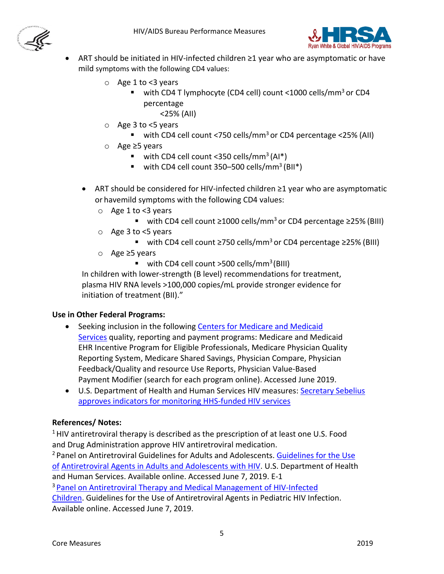



- ART should be initiated in HIV-infected children ≥1 year who are asymptomatic or have mild symptoms with the following CD4 values:
	- $\circ$  Age 1 to <3 years
		- with CD4 T lymphocyte (CD4 cell) count <1000 cells/mm<sup>3</sup> or CD4 percentage <25% (AII)
	- o Age 3 to <5 years
		- with CD4 cell count <750 cells/mm<sup>3</sup> or CD4 percentage <25% (AII)
	- o Age ≥5 years
		- with CD4 cell count <350 cells/mm<sup>3</sup> (AI\*)
		- with CD4 cell count 350–500 cells/mm<sup>3</sup> (BII\*)
	- ART should be considered for HIV-infected children ≥1 year who are asymptomatic or havemild symptoms with the following CD4 values:
		- o Age 1 to <3 years
			- $\blacksquare$  with CD4 cell count ≥1000 cells/mm<sup>3</sup> or CD4 percentage ≥25% (BIII)
		- o Age 3 to <5 years
			- with CD4 cell count  $\geq$ 750 cells/mm<sup>3</sup> or CD4 percentage  $\geq$ 25% (BIII)
		- o Age ≥5 years
			- with CD4 cell count  $>500$  cells/mm<sup>3</sup>(BIII)

In children with lower-strength (B level) recommendations for treatment, plasma HIV RNA levels >100,000 copies/mL provide stronger evidence for initiation of treatment (BII)."

#### **Use in Other Federal Programs:**

- Seeking inclusion in the following Centers for Medicare and Medicaid [Services](http://www.cms.gov/) quality, reporting and payment programs: Medicare and Medicaid EHR Incentive Program for Eligible Professionals, Medicare Physician Quality Reporting System, Medicare Shared Savings, Physician Compare, Physician Feedback/Quality and resource Use Reports, Physician Value-Based Payment Modifier (search for each program online). Accessed June 2019.
- U.S. Department of Health and Human Services HIV measures: [Secretary Sebelius](http://blog.aids.gov/2012/08/secretary-sebelius-approves-indicators-for-monitoring-hhs-funded-hiv-services.html)  [approves](http://blog.aids.gov/2012/08/secretary-sebelius-approves-indicators-for-monitoring-hhs-funded-hiv-services.html) [indicators for monitoring HHS-funded HIV](http://blog.aids.gov/2012/08/secretary-sebelius-approves-indicators-for-monitoring-hhs-funded-hiv-services.html) services

# **References/ Notes:**

<sup>1</sup> HIV antiretroviral therapy is described as the prescription of at least one U.S. Food and Drug Administration approve HIV antiretroviral medication.

<sup>2</sup> Panel on Antiretroviral Guidelines for Adults and Adolescents. Guidelines for the Use [of](https://aidsinfo.nih.gov/contentfiles/lvguidelines/adultandadolescentgl.pdf) [Antiretroviral Agents in Adults and Adolescents](https://aidsinfo.nih.gov/contentfiles/lvguidelines/adultandadolescentgl.pdf) with HIV. U.S. Department of Health and Human Services. Available online. Accessed June 7, 2019. E-1

[3 Panel on Antiretroviral Therapy and Medical Management of HIV-Infected](https://aidsinfo.nih.gov/contentfiles/lvguidelines/pediatricguidelines.pdf) 

[Children.](https://aidsinfo.nih.gov/contentfiles/lvguidelines/pediatricguidelines.pdf) Guidelines for the Use of Antiretroviral Agents in Pediatric HIV Infection. Available online. Accessed June 7, 2019.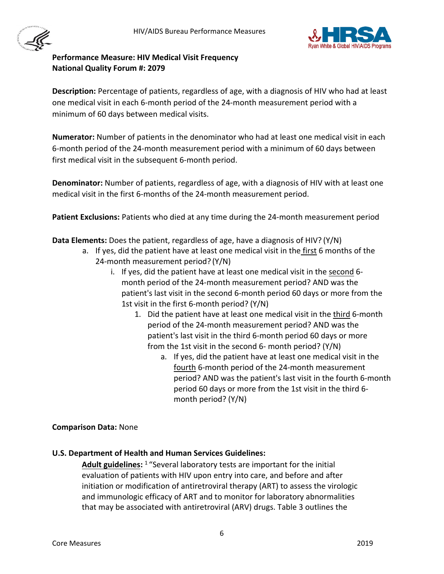



# <span id="page-5-0"></span>**Performance Measure: HIV Medical Visit Frequency National Quality Forum #: 2079**

**Description:** Percentage of patients, regardless of age, with a diagnosis of HIV who had at least one medical visit in each 6-month period of the 24-month measurement period with a minimum of 60 days between medical visits.

**Numerator:** Number of patients in the denominator who had at least one medical visit in each 6-month period of the 24-month measurement period with a minimum of 60 days between first medical visit in the subsequent 6-month period.

**Denominator:** Number of patients, regardless of age, with a diagnosis of HIV with at least one medical visit in the first 6-months of the 24-month measurement period.

**Patient Exclusions:** Patients who died at any time during the 24-month measurement period

**Data Elements:** Does the patient, regardless of age, have a diagnosis of HIV? (Y/N)

- a. If yes, did the patient have at least one medical visit in the first 6 months of the 24-month measurement period? (Y/N)
	- i. If yes, did the patient have at least one medical visit in the second 6 month period of the 24-month measurement period? AND was the patient's last visit in the second 6-month period 60 days or more from the 1st visit in the first 6-month period? (Y/N)
		- 1. Did the patient have at least one medical visit in the third 6-month period of the 24-month measurement period? AND was the patient's last visit in the third 6-month period 60 days or more from the 1st visit in the second 6- month period? (Y/N)
			- a. If yes, did the patient have at least one medical visit in the fourth 6-month period of the 24-month measurement period? AND was the patient's last visit in the fourth 6-month period 60 days or more from the 1st visit in the third 6 month period? (Y/N)

#### **Comparison Data:** None

#### **U.S. Department of Health and Human Services Guidelines:**

**Adult guidelines:** 1 "Several laboratory tests are important for the initial evaluation of patients with HIV upon entry into care, and before and after initiation or modification of antiretroviral therapy (ART) to assess the virologic and immunologic efficacy of ART and to monitor for laboratory abnormalities that may be associated with antiretroviral (ARV) drugs. Table 3 outlines the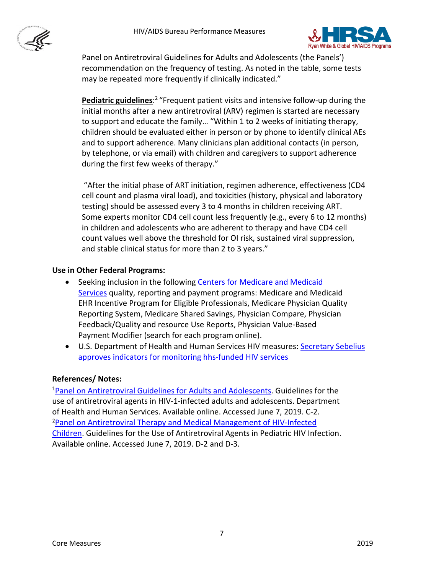



Panel on Antiretroviral Guidelines for Adults and Adolescents (the Panels') recommendation on the frequency of testing. As noted in the table, some tests may be repeated more frequently if clinically indicated."

**Pediatric guidelines**: 2 "Frequent patient visits and intensive follow-up during the initial months after a new antiretroviral (ARV) regimen is started are necessary to support and educate the family… "Within 1 to 2 weeks of initiating therapy, children should be evaluated either in person or by phone to identify clinical AEs and to support adherence. Many clinicians plan additional contacts (in person, by telephone, or via email) with children and caregivers to support adherence during the first few weeks of therapy."

 "After the initial phase of ART initiation, regimen adherence, effectiveness (CD4 cell count and plasma viral load), and toxicities (history, physical and laboratory testing) should be assessed every 3 to 4 months in children receiving ART. Some experts monitor CD4 cell count less frequently (e.g., every 6 to 12 months) in children and adolescents who are adherent to therapy and have CD4 cell count values well above the threshold for OI risk, sustained viral suppression, and stable clinical status for more than 2 to 3 years."

#### **Use in Other Federal Programs:**

- Seeking inclusion in the following Centers for Medicare and Medicaid [Services](http://www.cms.gov/) quality, reporting and payment programs: Medicare and Medicaid EHR Incentive Program for Eligible Professionals, Medicare Physician Quality Reporting System, Medicare Shared Savings, Physician Compare, Physician Feedback/Quality and resource Use Reports, Physician Value-Based Payment Modifier (search for each program online).
- U.S. Department of Health and Human Services HIV measures: Secretary Sebelius [approves](http://blog.aids.gov/2012/08/secretary-sebelius-approves-indicators-for-monitoring-hhs-funded-hiv-services.html) [indicators for monitoring hhs-funded HIV](http://blog.aids.gov/2012/08/secretary-sebelius-approves-indicators-for-monitoring-hhs-funded-hiv-services.html) services

#### **References/ Notes:**

<sup>1</sup>Panel on Antiretroviral Guidelines for Adults and Adolescents. Guidelines for the use of antiretroviral agents in HIV-1-infected adults and adolescents. Department of Health and Human Services. Available online. Accessed June 7, 2019. C-2. [2Panel on Antiretroviral Therapy and Medical Management of HIV-Infected](https://aidsinfo.nih.gov/contentfiles/lvguidelines/pediatricguidelines.pdf)  [Children.](https://aidsinfo.nih.gov/contentfiles/lvguidelines/pediatricguidelines.pdf) Guidelines for the Use of Antiretroviral Agents in Pediatric HIV Infection. Available online. Accessed June 7, 2019. D-2 and D-3.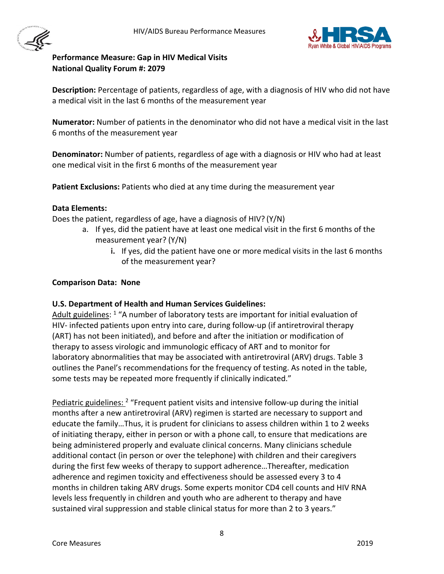



# <span id="page-7-0"></span>**Performance Measure: Gap in HIV Medical Visits National Quality Forum #: 2079**

**Description:** Percentage of patients, regardless of age, with a diagnosis of HIV who did not have a medical visit in the last 6 months of the measurement year

**Numerator:** Number of patients in the denominator who did not have a medical visit in the last 6 months of the measurement year

**Denominator:** Number of patients, regardless of age with a diagnosis or HIV who had at least one medical visit in the first 6 months of the measurement year

**Patient Exclusions:** Patients who died at any time during the measurement year

#### **Data Elements:**

Does the patient, regardless of age, have a diagnosis of HIV? (Y/N)

- a. If yes, did the patient have at least one medical visit in the first 6 months of the measurement year? (Y/N)
	- **i.** If yes, did the patient have one or more medical visits in the last 6 months of the measurement year?

#### **Comparison Data: None**

#### **U.S. Department of Health and Human Services Guidelines:**

Adult guidelines: <sup>1</sup> "A number of laboratory tests are important for initial evaluation of HIV- infected patients upon entry into care, during follow-up (if antiretroviral therapy (ART) has not been initiated), and before and after the initiation or modification of therapy to assess virologic and immunologic efficacy of ART and to monitor for laboratory abnormalities that may be associated with antiretroviral (ARV) drugs. Table 3 outlines the Panel's recommendations for the frequency of testing. As noted in the table, some tests may be repeated more frequently if clinically indicated."

Pediatric guidelines:  $2^{\circ}$  "Frequent patient visits and intensive follow-up during the initial months after a new antiretroviral (ARV) regimen is started are necessary to support and educate the family…Thus, it is prudent for clinicians to assess children within 1 to 2 weeks of initiating therapy, either in person or with a phone call, to ensure that medications are being administered properly and evaluate clinical concerns. Many clinicians schedule additional contact (in person or over the telephone) with children and their caregivers during the first few weeks of therapy to support adherence…Thereafter, medication adherence and regimen toxicity and effectiveness should be assessed every 3 to 4 months in children taking ARV drugs. Some experts monitor CD4 cell counts and HIV RNA levels less frequently in children and youth who are adherent to therapy and have sustained viral suppression and stable clinical status for more than 2 to 3 years."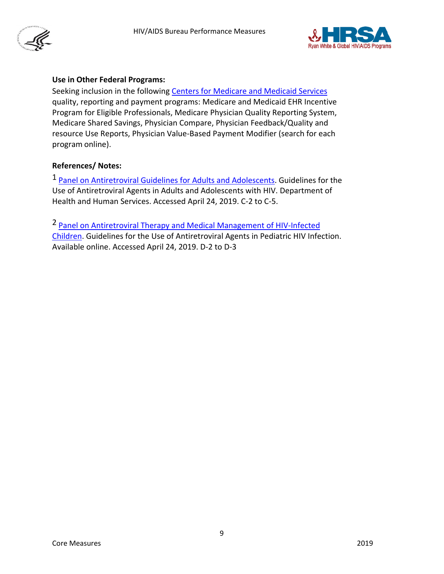



## **Use in Other Federal Programs:**

Seeking inclusion in the following [Centers for Medicare and Medicaid Services](http://www.cms.gov/) quality, reporting and payment programs: Medicare and Medicaid EHR Incentive Program for Eligible Professionals, Medicare Physician Quality Reporting System, Medicare Shared Savings, Physician Compare, Physician Feedback/Quality and resource Use Reports, Physician Value-Based Payment Modifier (search for each program online).

#### **References/ Notes:**

1 [Panel on Antiretroviral Guidelines for Adults and Adolescents.](https://aidsinfo.nih.gov/contentfiles/lvguidelines/adultandadolescentgl.pdf) Guidelines for the Use of Antiretroviral Agents in Adults and Adolescents with HIV. Department of Health and Human Services. Accessed April 24, 2019. C-2 to C-5.

2 [Panel on Antiretroviral Therapy and Medical Management of HIV-Infected](https://aidsinfo.nih.gov/contentfiles/lvguidelines/pediatricguidelines.pdf)  [Children.](https://aidsinfo.nih.gov/contentfiles/lvguidelines/pediatricguidelines.pdf) Guidelines for the Use of Antiretroviral Agents in Pediatric HIV Infection. Available online. Accessed April 24, 2019. D-2 to D-3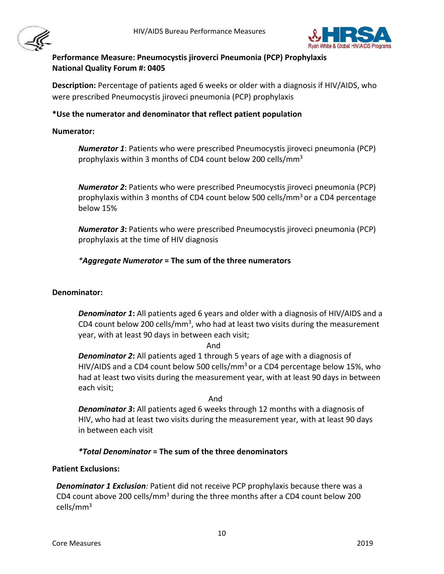



# <span id="page-9-0"></span>**Performance Measure: Pneumocystis jiroverci Pneumonia (PCP) Prophylaxis National Quality Forum #: 0405**

**Description:** Percentage of patients aged 6 weeks or older with a diagnosis if HIV/AIDS, who were prescribed Pneumocystis jiroveci pneumonia (PCP) prophylaxis

#### **\*Use the numerator and denominator that reflect patient population**

#### **Numerator:**

*Numerator 1*: Patients who were prescribed Pneumocystis jiroveci pneumonia (PCP) prophylaxis within 3 months of CD4 count below 200 cells/mm<sup>3</sup>

*Numerator 2***:** Patients who were prescribed Pneumocystis jiroveci pneumonia (PCP) prophylaxis within 3 months of CD4 count below 500 cells/mm<sup>3</sup> or a CD4 percentage below 15%

*Numerator 3***:** Patients who were prescribed Pneumocystis jiroveci pneumonia (PCP) prophylaxis at the time of HIV diagnosis

### *\*Aggregate Numerator* **= The sum of the three numerators**

#### **Denominator:**

*Denominator 1***:** All patients aged 6 years and older with a diagnosis of HIV/AIDS and a CD4 count below 200 cells/mm<sup>3</sup>, who had at least two visits during the measurement year, with at least 90 days in between each visit;

And

*Denominator 2***:** All patients aged 1 through 5 years of age with a diagnosis of HIV/AIDS and a CD4 count below 500 cells/mm<sup>3</sup> or a CD4 percentage below 15%, who had at least two visits during the measurement year, with at least 90 days in between each visit;

And

*Denominator 3***:** All patients aged 6 weeks through 12 months with a diagnosis of HIV, who had at least two visits during the measurement year, with at least 90 days in between each visit

#### *\*Total Denominator* **= The sum of the three denominators**

#### **Patient Exclusions:**

*Denominator 1 Exclusion:* Patient did not receive PCP prophylaxis because there was a CD4 count above 200 cells/mm<sup>3</sup> during the three months after a CD4 count below 200 cells/mm3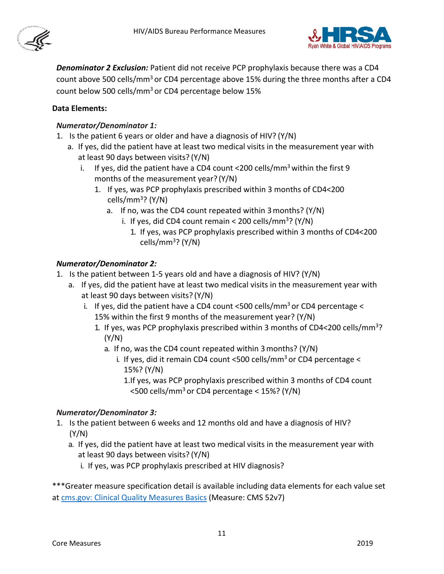



*Denominator 2 Exclusion:* Patient did not receive PCP prophylaxis because there was a CD4 count above 500 cells/mm<sup>3</sup> or CD4 percentage above 15% during the three months after a CD4 count below 500 cells/mm3 or CD4 percentage below 15%

### **Data Elements:**

#### *Numerator/Denominator 1:*

- 1. Is the patient 6 years or older and have a diagnosis of HIV? (Y/N)
	- a. If yes, did the patient have at least two medical visits in the measurement year with at least 90 days between visits? (Y/N)
		- i. If yes, did the patient have a CD4 count <200 cells/mm<sup>3</sup> within the first 9 months of the measurement year? (Y/N)
			- 1. If yes, was PCP prophylaxis prescribed within 3 months of CD4<200 cells/mm<sup>3</sup>? (Y/N)
				- a. If no, was the CD4 count repeated within 3months? (Y/N)
					- i. If yes, did CD4 count remain < 200 cells/mm<sup>3</sup>? (Y/N)
						- 1. If yes, was PCP prophylaxis prescribed within 3 months of CD4<200 cells/mm3? (Y/N)

#### *Numerator/Denominator 2:*

- 1. Is the patient between 1-5 years old and have a diagnosis of HIV? (Y/N)
	- a. If yes, did the patient have at least two medical visits in the measurement year with at least 90 days between visits? (Y/N)
		- i. If yes, did the patient have a CD4 count  $<$  500 cells/mm<sup>3</sup> or CD4 percentage  $<$ 15% within the first 9 months of the measurement year? (Y/N)
			- 1. If yes, was PCP prophylaxis prescribed within 3 months of CD4<200 cells/mm3? (Y/N)
				- a. If no, was the CD4 count repeated within 3months? (Y/N)
					- i. If yes, did it remain CD4 count <500 cells/ $\text{mm}^3$  or CD4 percentage < 15%? (Y/N)
						- 1.If yes, was PCP prophylaxis prescribed within 3 months of CD4 count  $<$ 500 cells/mm<sup>3</sup> or CD4 percentage  $<$  15%? (Y/N)

#### *Numerator/Denominator 3:*

- 1. Is the patient between 6 weeks and 12 months old and have a diagnosis of HIV? (Y/N)
	- a. If yes, did the patient have at least two medical visits in the measurement year with at least 90 days between visits? (Y/N)
		- i. If yes, was PCP prophylaxis prescribed at HIV diagnosis?

\*\*\*Greater measure specification detail is available including data elements for each value set at [cms.gov: Clinical Quality Measures Basics \(](https://www.cms.gov/Regulations-and-Guidance/Legislation/EHRIncentivePrograms/ClinicalQualityMeasures.html)Measure: CMS 52v7)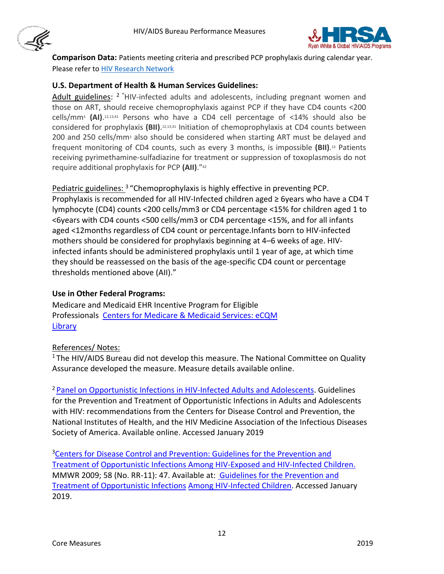



**Comparison Data:** Patients meeting criteria and prescribed PCP prophylaxis during calendar year. Please refer to [HIV Research Network](https://cds.johnshopkins.edu/hivrn/index.cfm?do=page.index) 

### **U.S. Department of Health & Human Services Guidelines:**

Adult guidelines: <sup>2</sup> "HIV-infected adults and adolescents, including pregnant women and those on ART, should receive chemoprophylaxis against PCP if they have CD4 counts <200 cells/mm3 **(AI)**.12,13,41 Persons who have a CD4 cell percentage of <14% should also be considered for prophylaxis **(BII)**.12,13,41 Initiation of chemoprophylaxis at CD4 counts between 200 and 250 cells/mm<sup>3</sup> also should be considered when starting ART must be delayed and frequent monitoring of CD4 counts, such as every 3 months, is impossible **(BII)**.13 Patients receiving pyrimethamine-sulfadiazine for treatment or suppression of toxoplasmosis do not require additional prophylaxis for PCP **(AII)**."42

Pediatric guidelines: <sup>3</sup> "Chemoprophylaxis is highly effective in preventing PCP. Prophylaxis is recommended for all HIV-Infected children aged ≥ 6years who have a CD4 T lymphocyte (CD4) counts <200 cells/mm3 or CD4 percentage <15% for children aged 1 to <6years with CD4 counts <500 cells/mm3 or CD4 percentage <15%, and for all infants aged <12months regardless of CD4 count or percentage.Infants born to HIV-infected mothers should be considered for prophylaxis beginning at 4–6 weeks of age. HIVinfected infants should be administered prophylaxis until 1 year of age, at which time they should be reassessed on the basis of the age-specific CD4 count or percentage thresholds mentioned above (AII)."

#### **Use in Other Federal Programs:**

Medicare and Medicaid EHR Incentive Program for Eligible Professionals [Centers for Medicare & Medicaid Services: eCQM](https://www.cms.gov/regulations-and-guidance/legislation/ehrincentiveprograms/ecqm_library.html)  **[Library](https://www.cms.gov/regulations-and-guidance/legislation/ehrincentiveprograms/ecqm_library.html)** 

# References/ Notes:

<sup>1</sup> The HIV/AIDS Bureau did not develop this measure. The National Committee on Quality [Assurance d](http://www.qualityforum.org/News_And_Resources/Endorsement_Summaries/Endorsement_Summaries.aspx)eveloped the measure. Measure details available online.

<sup>2</sup> Panel on Opportunistic Infections in HIV-Infected Adults and Adolescents. Guidelines for the Prevention and Treatment of Opportunistic Infections in Adults and Adolescents with HIV: recommendations from the Centers for Disease Control and Prevention, the National Institutes of Health, and the HIV Medicine Association of the Infectious Diseases Society of America. Available online. Accessed January 2019

[3Centers for Disease Control and Prevention: Guidelines for the Prevention and](https://www.cdc.gov/mmwR/pdf/rr/rr5811.pdf)  [Treatment of](https://www.cdc.gov/mmwR/pdf/rr/rr5811.pdf) [Opportunistic Infections Among HIV-Exposed and HIV-Infected Children.](https://www.cdc.gov/mmwR/pdf/rr/rr5811.pdf) MMWR 2009; 58 (No. RR-11): 47. Available at: [Guidelines for the Prevention and](http://aidsinfo.nih.gov/contentfiles/lvguidelines/oi_guidelines_pediatrics.pdf)  [Treatment of Opportunistic Infections](http://aidsinfo.nih.gov/contentfiles/lvguidelines/oi_guidelines_pediatrics.pdf) [Among HIV-Infected Children.](http://aidsinfo.nih.gov/contentfiles/lvguidelines/oi_guidelines_pediatrics.pdf) Accessed January 2019.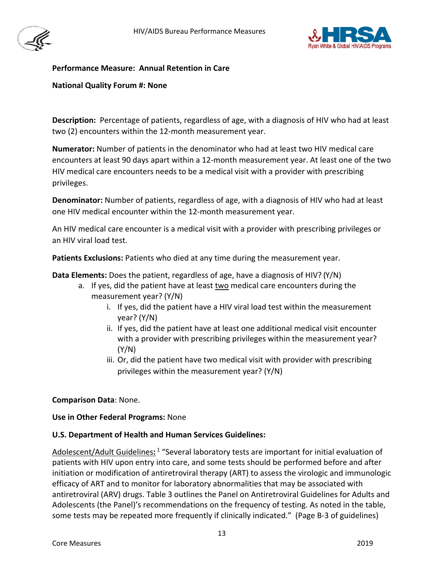<span id="page-12-0"></span>



#### **Performance Measure: Annual Retention in Care**

**National Quality Forum #: None**

**Description:** Percentage of patients, regardless of age, with a diagnosis of HIV who had at least two (2) encounters within the 12-month measurement year.

**Numerator:** Number of patients in the denominator who had at least two HIV medical care encounters at least 90 days apart within a 12-month measurement year. At least one of the two HIV medical care encounters needs to be a medical visit with a provider with prescribing privileges.

**Denominator:** Number of patients, regardless of age, with a diagnosis of HIV who had at least one HIV medical encounter within the 12-month measurement year.

An HIV medical care encounter is a medical visit with a provider with prescribing privileges or an HIV viral load test.

**Patients Exclusions:** Patients who died at any time during the measurement year.

**Data Elements:** Does the patient, regardless of age, have a diagnosis of HIV? (Y/N)

- a. If yes, did the patient have at least two medical care encounters during the measurement year? (Y/N)
	- i. If yes, did the patient have a HIV viral load test within the measurement year? (Y/N)
	- ii. If yes, did the patient have at least one additional medical visit encounter with a provider with prescribing privileges within the measurement year? (Y/N)
	- iii. Or, did the patient have two medical visit with provider with prescribing privileges within the measurement year? (Y/N)

#### **Comparison Data**: None.

#### **Use in Other Federal Programs:** None

#### **U.S. Department of Health and Human Services Guidelines:**

Adolescent/Adult Guidelines**:** "Several laboratory tests are important for initial evaluation of 1 patients with HIV upon entry into care, and some tests should be performed before and after initiation or modification of antiretroviral therapy (ART) to assess the virologic and immunologic efficacy of ART and to monitor for laboratory abnormalities that may be associated with antiretroviral (ARV) drugs. Table 3 outlines the Panel on Antiretroviral Guidelines for Adults and Adolescents (the Panel)'s recommendations on the frequency of testing. As noted in the table, some tests may be repeated more frequently if clinically indicated." (Page B-3 of guidelines)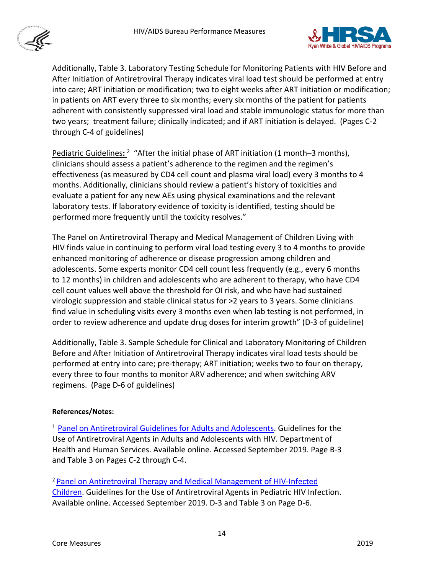



Additionally, Table 3. Laboratory Testing Schedule for Monitoring Patients with HIV Before and After Initiation of Antiretroviral Therapy indicates viral load test should be performed at entry into care; ART initiation or modification; two to eight weeks after ART initiation or modification; in patients on ART every three to six months; every six months of the patient for patients adherent with consistently suppressed viral load and stable immunologic status for more than two years; treatment failure; clinically indicated; and if ART initiation is delayed. (Pages C-2 through C-4 of guidelines)

Pediatric Guidelines**:** "After the initial phase of ART initiation (1 month–3 months), 2 clinicians should assess a patient's adherence to the regimen and the regimen's effectiveness (as measured by CD4 cell count and plasma viral load) every 3 months to 4 months. Additionally, clinicians should review a patient's history of toxicities and evaluate a patient for any new AEs using physical examinations and the relevant laboratory tests. If laboratory evidence of toxicity is identified, testing should be performed more frequently until the toxicity resolves."

The Panel on Antiretroviral Therapy and Medical Management of Children Living with HIV finds value in continuing to perform viral load testing every 3 to 4 months to provide enhanced monitoring of adherence or disease progression among children and adolescents. Some experts monitor CD4 cell count less frequently (e.g., every 6 months to 12 months) in children and adolescents who are adherent to therapy, who have CD4 cell count values well above the threshold for OI risk, and who have had sustained virologic suppression and stable clinical status for >2 years to 3 years. Some clinicians find value in scheduling visits every 3 months even when lab testing is not performed, in order to review adherence and update drug doses for interim growth" (D-3 of guideline)

Additionally, Table 3. Sample Schedule for Clinical and Laboratory Monitoring of Children Before and After Initiation of Antiretroviral Therapy indicates viral load tests should be performed at entry into care; pre-therapy; ART initiation; weeks two to four on therapy, every three to four months to monitor ARV adherence; and when switching ARV regimens. (Page D-6 of guidelines)

#### **References/Notes:**

1 [Panel on Antiretroviral Guidelines for Adults and Adolescents.](https://aidsinfo.nih.gov/contentfiles/lvguidelines/adultandadolescentgl.pdf) Guidelines for the Use of Antiretroviral Agents in Adults and Adolescents with HIV. Department of Health and Human Services. Available online. Accessed September 2019. Page B-3 and Table 3 on Pages C-2 through C-4.

<sup>2</sup> Panel on Antiretroviral Therapy and Medical Management of HIV-Infected [Children.](https://aidsinfo.nih.gov/contentfiles/lvguidelines/pediatricguidelines.pdf) Guidelines for the Use of Antiretroviral Agents in Pediatric HIV Infection. Available online. Accessed September 2019. D-3 and Table 3 on Page D-6.